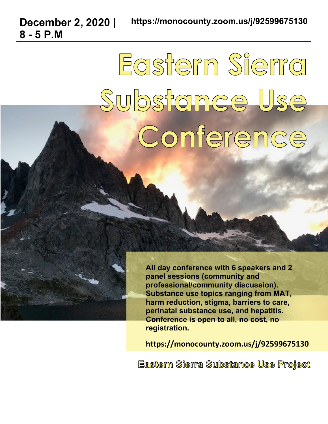**December 2, 2020 |** 

**8 - 5 P.M**

## Eastern Sierra Substance Use Conference

**All day conference with 6 speakers and 2 panel sessions (community and professional/community discussion). Substance use topics ranging from MAT, harm reduction, stigma, barriers to care, perinatal substance use, and hepatitis. Conference is open to all, no cost, no registration.** 

**https://monocounty.zoom.us/j/92599675130**

**Eastern Sierra Substance Use Proiect**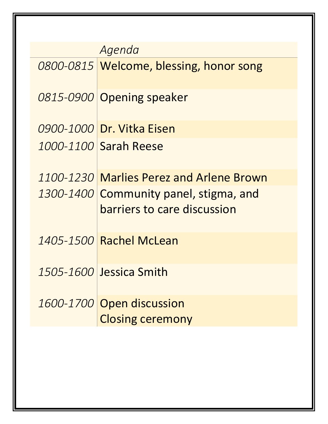| Agenda |                                          |  |  |
|--------|------------------------------------------|--|--|
|        | 0800-0815 Welcome, blessing, honor song  |  |  |
|        | 0815-0900 Opening speaker                |  |  |
|        | 0900-1000 Dr. Vitka Eisen                |  |  |
|        | 1000-1100 Sarah Reese                    |  |  |
|        | 1100-1230 Marlies Perez and Arlene Brown |  |  |
|        | 1300-1400 Community panel, stigma, and   |  |  |
|        | barriers to care discussion              |  |  |
|        | 1405-1500 Rachel McLean                  |  |  |
|        | 1505-1600 Jessica Smith                  |  |  |
|        | 1600-1700 Open discussion                |  |  |
|        | <b>Closing ceremony</b>                  |  |  |
|        |                                          |  |  |
|        |                                          |  |  |
|        |                                          |  |  |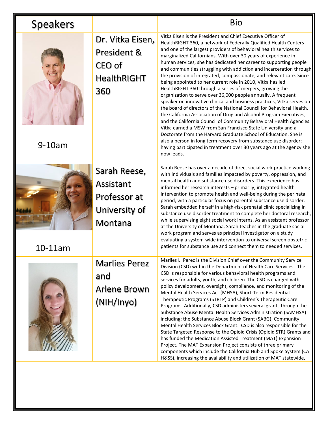| <b>Speakers</b> |                                                                        | <b>Bio</b>                                                                                                                                                                                                                                                                                                                                                                                                                                                                                                                                                                                                                                                                                                                                                                                                                                                                                                                                                                                                                                                                                                                                                                                                                                                                         |
|-----------------|------------------------------------------------------------------------|------------------------------------------------------------------------------------------------------------------------------------------------------------------------------------------------------------------------------------------------------------------------------------------------------------------------------------------------------------------------------------------------------------------------------------------------------------------------------------------------------------------------------------------------------------------------------------------------------------------------------------------------------------------------------------------------------------------------------------------------------------------------------------------------------------------------------------------------------------------------------------------------------------------------------------------------------------------------------------------------------------------------------------------------------------------------------------------------------------------------------------------------------------------------------------------------------------------------------------------------------------------------------------|
| $9-10am$        | Dr. Vitka Eisen,<br>President &<br>CEO of<br><b>HealthRIGHT</b><br>360 | Vitka Eisen is the President and Chief Executive Officer of<br>HealthRIGHT 360, a network of Federally Qualified Health Centers<br>and one of the largest providers of behavioral health services to<br>marginalized Californians. With over 30 years of experience in<br>human services, she has dedicated her career to supporting people<br>and communities struggling with addiction and incarceration through<br>the provision of integrated, compassionate, and relevant care. Since<br>being appointed to her current role in 2010, Vitka has led<br>HealthRIGHT 360 through a series of mergers, growing the<br>organization to serve over 36,000 people annually. A frequent<br>speaker on innovative clinical and business practices, Vitka serves on<br>the board of directors of the National Council for Behavioral Health,<br>the California Association of Drug and Alcohol Program Executives,<br>and the California Council of Community Behavioral Health Agencies.<br>Vitka earned a MSW from San Francisco State University and a<br>Doctorate from the Harvard Graduate School of Education. She is<br>also a person in long term recovery from substance use disorder;<br>having participated in treatment over 30 years ago at the agency she<br>now leads. |
| 10-11am         | Sarah Reese,<br>Assistant<br>Professor at<br>University of<br>Montana  | Sarah Reese has over a decade of direct social work practice working<br>with individuals and families impacted by poverty, oppression, and<br>mental health and substance use disorders. This experience has<br>informed her research interests - primarily, integrated health<br>intervention to promote health and well-being during the perinatal<br>period, with a particular focus on parental substance use disorder.<br>Sarah embedded herself in a high-risk prenatal clinic specializing in<br>substance use disorder treatment to complete her doctoral research,<br>while supervising eight social work interns. As an assistant professor<br>at the University of Montana, Sarah teaches in the graduate social<br>work program and serves as principal investigator on a study<br>evaluating a system-wide intervention to universal screen obstetric<br>patients for substance use and connect them to needed services.                                                                                                                                                                                                                                                                                                                                              |
|                 | <b>Marlies Perez</b><br>and<br>Arlene Brown<br>(NIH/Inyo)              | Marlies L. Perez is the Division Chief over the Community Service<br>Division (CSD) within the Department of Health Care Services. The<br>CSD is responsible for various behavioral health programs and<br>services for adults, youth, and children. The CSD is charged with<br>policy development, oversight, compliance, and monitoring of the<br>Mental Health Services Act (MHSA), Short-Term Residential<br>Therapeutic Programs (STRTP) and Children's Therapeutic Care<br>Programs. Additionally, CSD administers several grants through the<br>Substance Abuse Mental Health Services Administration (SAMHSA)<br>including; the Substance Abuse Block Grant (SABG), Community<br>Mental Health Services Block Grant. CSD is also responsible for the<br>State Targeted Response to the Opioid Crisis (Opioid STR) Grants and<br>has funded the Medication Assisted Treatment (MAT) Expansion<br>Project. The MAT Expansion Project consists of three primary<br>components which include the California Hub and Spoke System (CA<br>H&SS), increasing the availability and utilization of MAT statewide,                                                                                                                                                                   |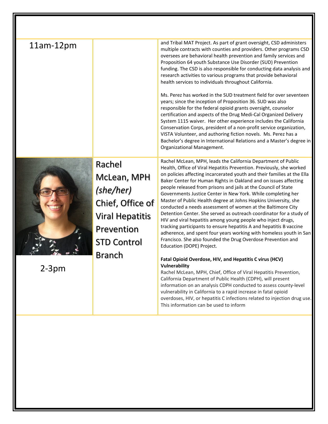| $11am-12pm$ |                                                                                                                                       | and Tribal MAT Project. As part of grant oversight, CSD administers<br>multiple contracts with counties and providers. Other programs CSD<br>oversees are behavioral health prevention and family services and<br>Proposition 64 youth Substance Use Disorder (SUD) Prevention<br>funding. The CSD is also responsible for conducting data analysis and<br>research activities to various programs that provide behavioral<br>health services to individuals throughout California.<br>Ms. Perez has worked in the SUD treatment field for over seventeen<br>years; since the inception of Proposition 36. SUD was also<br>responsible for the federal opioid grants oversight, counselor<br>certification and aspects of the Drug Medi-Cal Organized Delivery<br>System 1115 waiver. Her other experience includes the California<br>Conservation Corps, president of a non-profit service organization,<br>VISTA Volunteer, and authoring fiction novels. Ms. Perez has a<br>Bachelor's degree in International Relations and a Master's degree in<br>Organizational Management.                                                                                                                                                                                                                                                                                                                                    |
|-------------|---------------------------------------------------------------------------------------------------------------------------------------|-----------------------------------------------------------------------------------------------------------------------------------------------------------------------------------------------------------------------------------------------------------------------------------------------------------------------------------------------------------------------------------------------------------------------------------------------------------------------------------------------------------------------------------------------------------------------------------------------------------------------------------------------------------------------------------------------------------------------------------------------------------------------------------------------------------------------------------------------------------------------------------------------------------------------------------------------------------------------------------------------------------------------------------------------------------------------------------------------------------------------------------------------------------------------------------------------------------------------------------------------------------------------------------------------------------------------------------------------------------------------------------------------------------------------|
| z-3pm       | Rachel<br>McLean, MPH<br>(she/her)<br>Chief, Office of<br><b>Viral Hepatitis</b><br>Prevention<br><b>STD Control</b><br><b>Branch</b> | Rachel McLean, MPH, leads the California Department of Public<br>Health, Office of Viral Hepatitis Prevention. Previously, she worked<br>on policies affecting incarcerated youth and their families at the Ella<br>Baker Center for Human Rights in Oakland and on issues affecting<br>people released from prisons and jails at the Council of State<br>Governments Justice Center in New York. While completing her<br>Master of Public Health degree at Johns Hopkins University, she<br>conducted a needs assessment of women at the Baltimore City<br>Detention Center. She served as outreach coordinator for a study of<br>HIV and viral hepatitis among young people who inject drugs,<br>tracking participants to ensure hepatitis A and hepatitis B vaccine<br>adherence, and spent four years working with homeless youth in San<br>Francisco. She also founded the Drug Overdose Prevention and<br>Education (DOPE) Project.<br>Fatal Opioid Overdose, HIV, and Hepatitis C virus (HCV)<br>Vulnerability<br>Rachel McLean, MPH, Chief, Office of Viral Hepatitis Prevention,<br>California Department of Public Health (CDPH), will present<br>information on an analysis CDPH conducted to assess county-level<br>vulnerability in California to a rapid increase in fatal opioid<br>overdoses, HIV, or hepatitis C infections related to injection drug use.<br>This information can be used to inform |